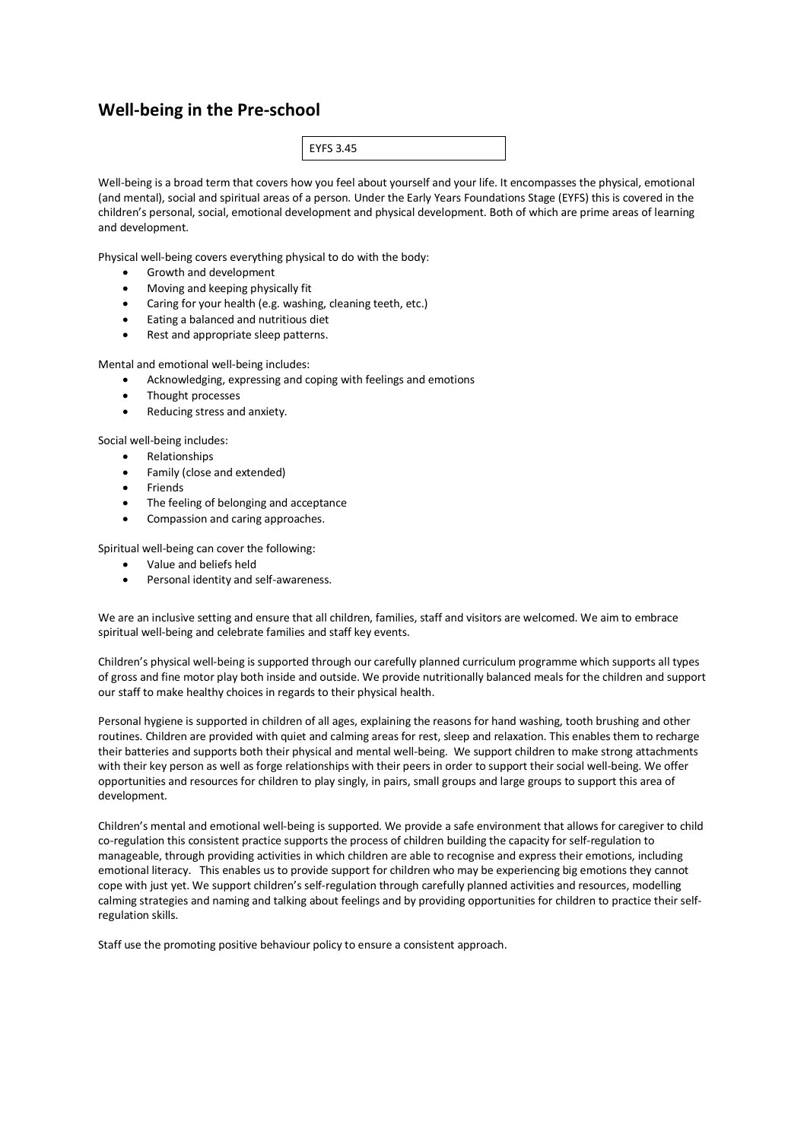## **Well-being in the Pre-school**

| ر م |
|-----|
|-----|

Well-being is a broad term that covers how you feel about yourself and your life. It encompasses the physical, emotional (and mental), social and spiritual areas of a person. Under the Early Years Foundations Stage (EYFS) this is covered in the children's personal, social, emotional development and physical development. Both of which are prime areas of learning and development.

Physical well-being covers everything physical to do with the body:

- Growth and development
- Moving and keeping physically fit
- Caring for your health (e.g. washing, cleaning teeth, etc.)
- Eating a balanced and nutritious diet
- Rest and appropriate sleep patterns.

Mental and emotional well-being includes:

- Acknowledging, expressing and coping with feelings and emotions
- Thought processes
- Reducing stress and anxiety.

Social well-being includes:

- Relationships
- Family (close and extended)
- Friends
- The feeling of belonging and acceptance
- Compassion and caring approaches.

Spiritual well-being can cover the following:

- Value and beliefs held
- Personal identity and self-awareness.

We are an inclusive setting and ensure that all children, families, staff and visitors are welcomed. We aim to embrace spiritual well-being and celebrate families and staff key events.

Children's physical well-being is supported through our carefully planned curriculum programme which supports all types of gross and fine motor play both inside and outside. We provide nutritionally balanced meals for the children and support our staff to make healthy choices in regards to their physical health.

Personal hygiene is supported in children of all ages, explaining the reasons for hand washing, tooth brushing and other routines. Children are provided with quiet and calming areas for rest, sleep and relaxation. This enables them to recharge their batteries and supports both their physical and mental well-being. We support children to make strong attachments with their key person as well as forge relationships with their peers in order to support their social well-being. We offer opportunities and resources for children to play singly, in pairs, small groups and large groups to support this area of development.

Children's mental and emotional well-being is supported. We provide a safe environment that allows for caregiver to child co-regulation this consistent practice supports the process of children building the capacity for self-regulation to manageable, through providing activities in which children are able to recognise and express their emotions, including emotional literacy. This enables us to provide support for children who may be experiencing big emotions they cannot cope with just yet. We support children's self-regulation through carefully planned activities and resources, modelling calming strategies and naming and talking about feelings and by providing opportunities for children to practice their selfregulation skills.

Staff use the promoting positive behaviour policy to ensure a consistent approach.